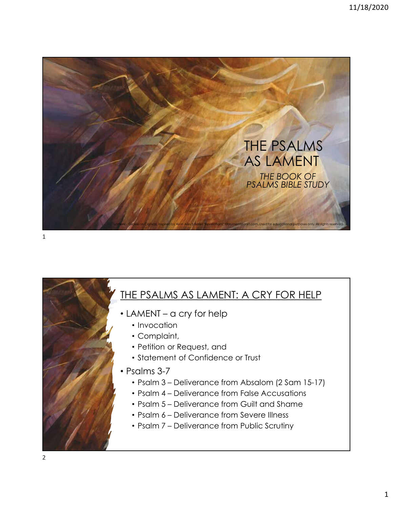

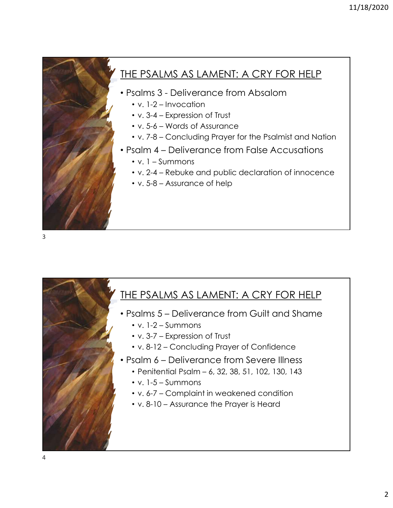## THE PSALMS AS LAMENT: A CRY FOR HELP 11/18/2020<br>
THE PSALMS AS LAMENT: A CRY FOR HELP<br>
• Psalms 3 - Deliverance from Absalom<br>
• v. 1-2 – Invocation<br>
• v. 3-4 – Expression of Trust<br>
• v. 5-6 – Words of Assurance 11/18/2020<br>
• PSALMS AS LAMENT: A CRY FOR HELP<br>
salms 3 - Deliverance from Absalom<br>
• v. 1-2 – Invocation<br>
• v. 3-4 – Expression of Trust<br>
• v. 5-6 – Words of Assurance<br>
• v. 7-8 – Concluding Prayer for the Psalmist and Na 11/18/20<br>
• Psalms 3 - Deliverance from Absalom<br>
• V. 1-2 – Invocation<br>
• v. 3-4 – Expression of Trust<br>
• v. 5-6 – Words of Assurance<br>
• V. 7-8 – Concluding Prayer for the Psalmist and Nation<br>
• Psalm 4 – Deliverance from <sup>11/18/2</sup><br>
• PSALMS AS LAMENT: A CRY FOR HELP<br>
salms 3 - Deliverance from Absalom<br>
• v. 1-2 – Invocation<br>
• v. 5-4 – Expression of Trust<br>
• v. 5-6 – Words of Assurance<br>
• v. 7-8 – Concluding Prayer for the Psalmist and Nat

- -
	-
	-
	-
- -
	-
	-